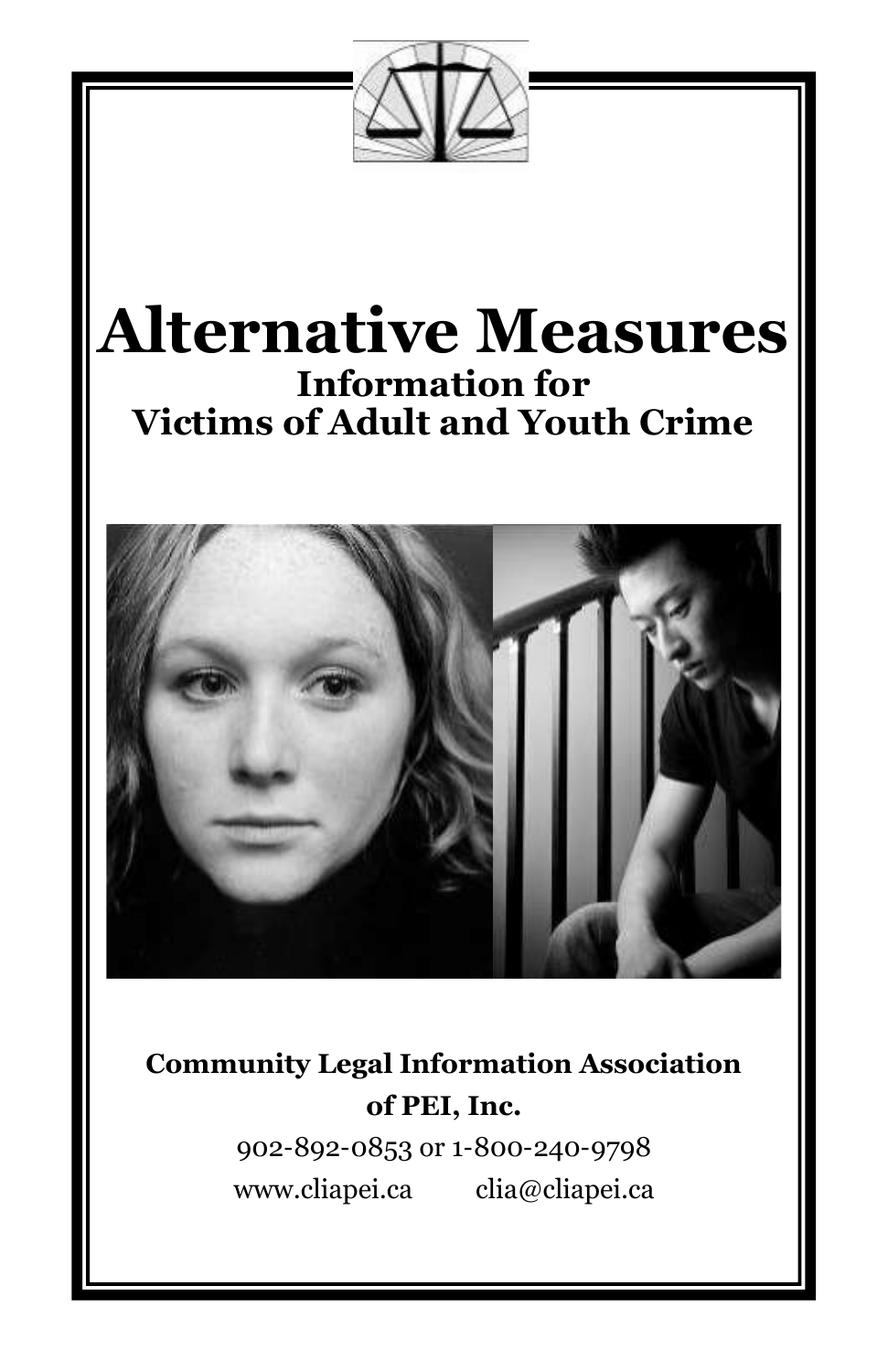# **Alternative Measures Information for Victims of Adult and Youth Crime**



**Community Legal Information Association of PEI, Inc.**

> 902-892-0853 or 1-800-240-9798 www.cliapei.ca clia@cliapei.ca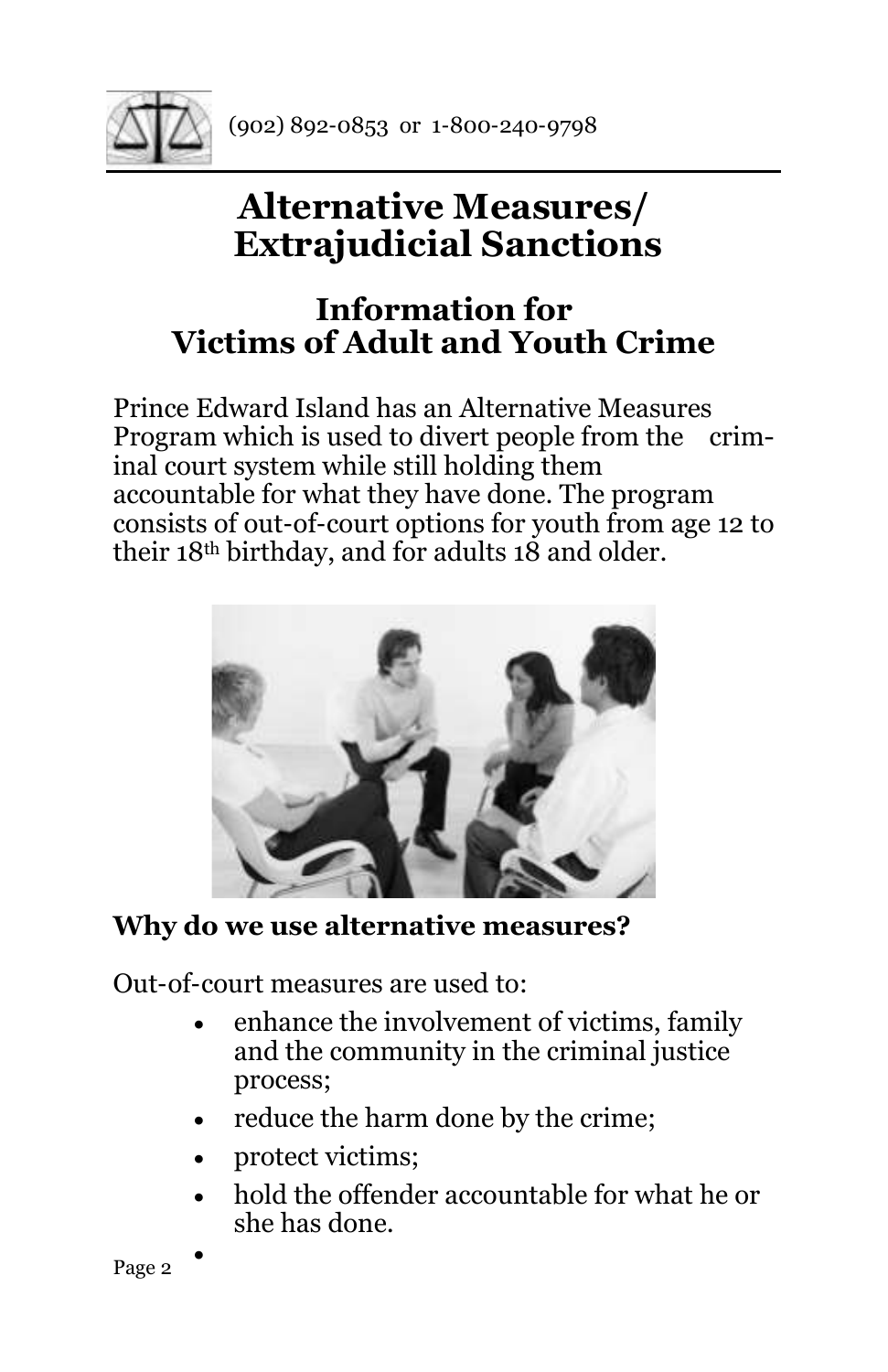

# **Alternative Measures/ Extrajudicial Sanctions**

# **Information for Victims of Adult and Youth Crime**

Prince Edward Island has an Alternative Measures Program which is used to divert people from the criminal court system while still holding them accountable for what they have done. The program consists of out-of-court options for youth from age 12 to their 18th birthday, and for adults 18 and older.



#### **Why do we use alternative measures?**

Out-of-court measures are used to:

- enhance the involvement of victims, family and the community in the criminal justice process;
- reduce the harm done by the crime;
- protect victims;
- hold the offender accountable for what he or she has done.

•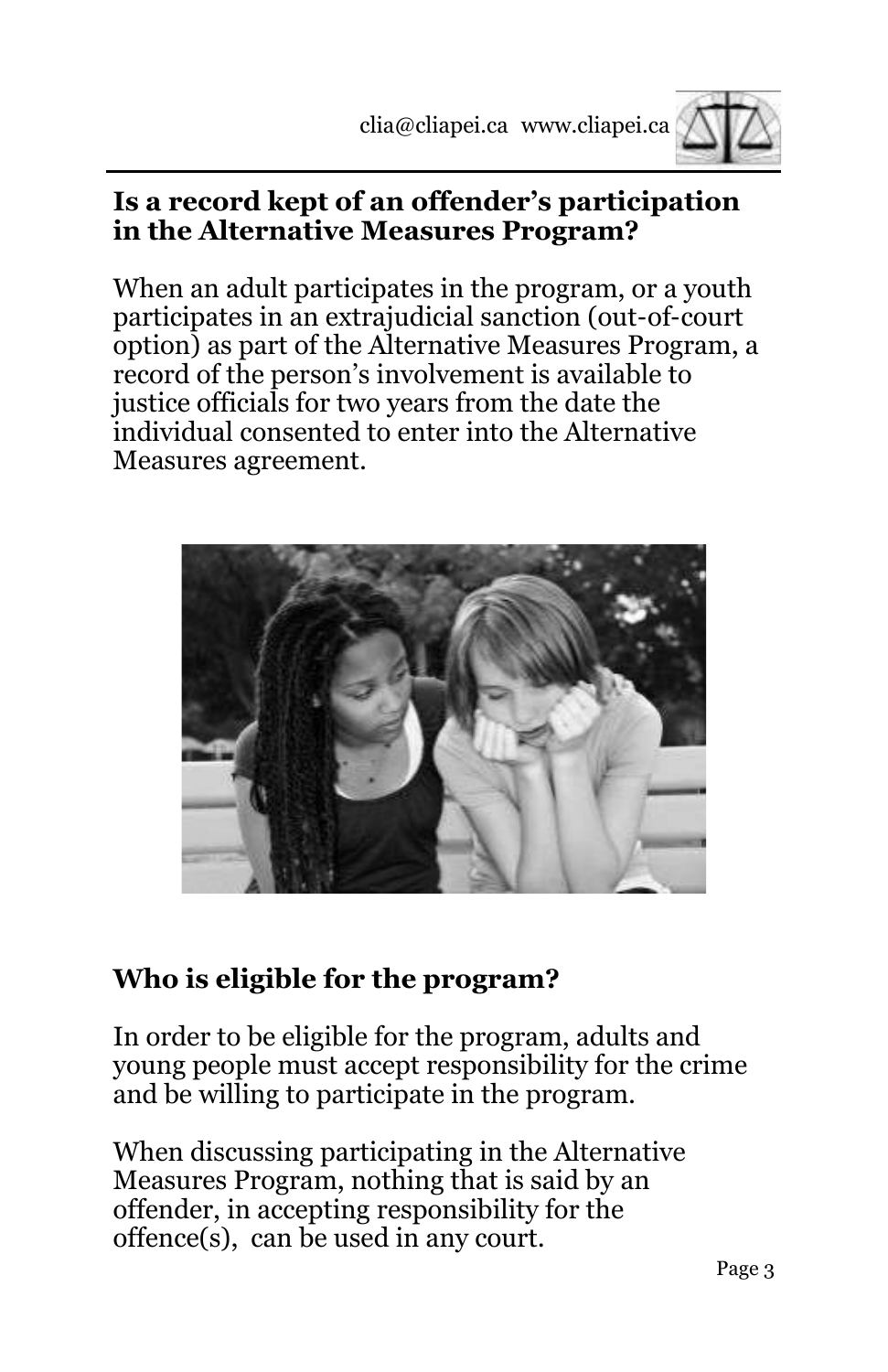

#### **Is a record kept of an offender's participation in the Alternative Measures Program?**

When an adult participates in the program, or a youth participates in an extrajudicial sanction (out-of-court option) as part of the Alternative Measures Program, a record of the person's involvement is available to justice officials for two years from the date the individual consented to enter into the Alternative Measures agreement.



### **Who is eligible for the program?**

In order to be eligible for the program, adults and young people must accept responsibility for the crime and be willing to participate in the program.

When discussing participating in the Alternative Measures Program, nothing that is said by an offender, in accepting responsibility for the offence(s), can be used in any court.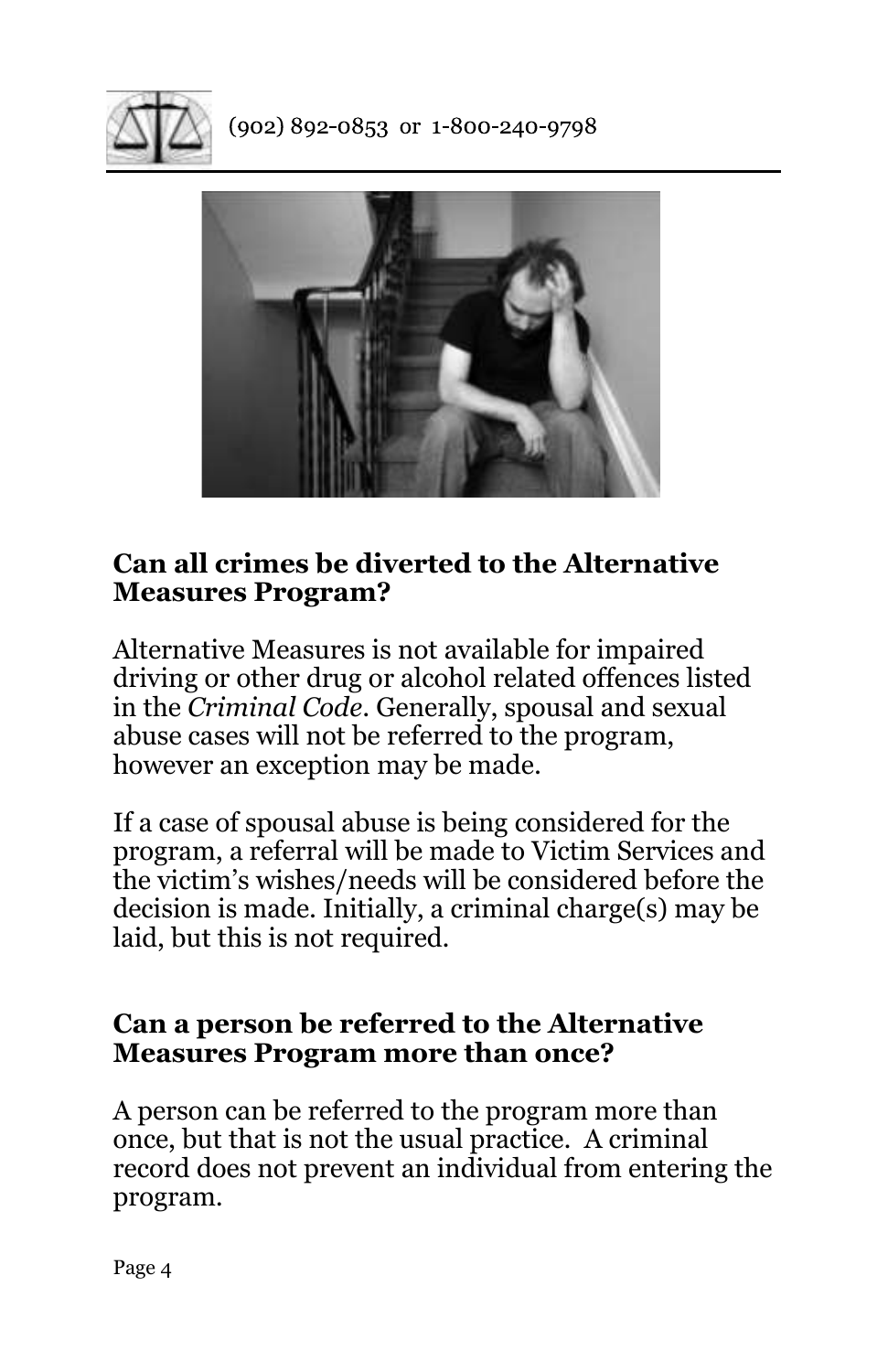

 $(902) 892 - 0853$  or 1-800-240-9798



#### **Can all crimes be diverted to the Alternative Measures Program?**

Alternative Measures is not available for impaired driving or other drug or alcohol related offences listed in the *Criminal Code*. Generally, spousal and sexual abuse cases will not be referred to the program, however an exception may be made.

If a case of spousal abuse is being considered for the program, a referral will be made to Victim Services and the victim's wishes/needs will be considered before the decision is made. Initially, a criminal charge(s) may be laid, but this is not required.

#### **Can a person be referred to the Alternative Measures Program more than once?**

A person can be referred to the program more than once, but that is not the usual practice. A criminal record does not prevent an individual from entering the program.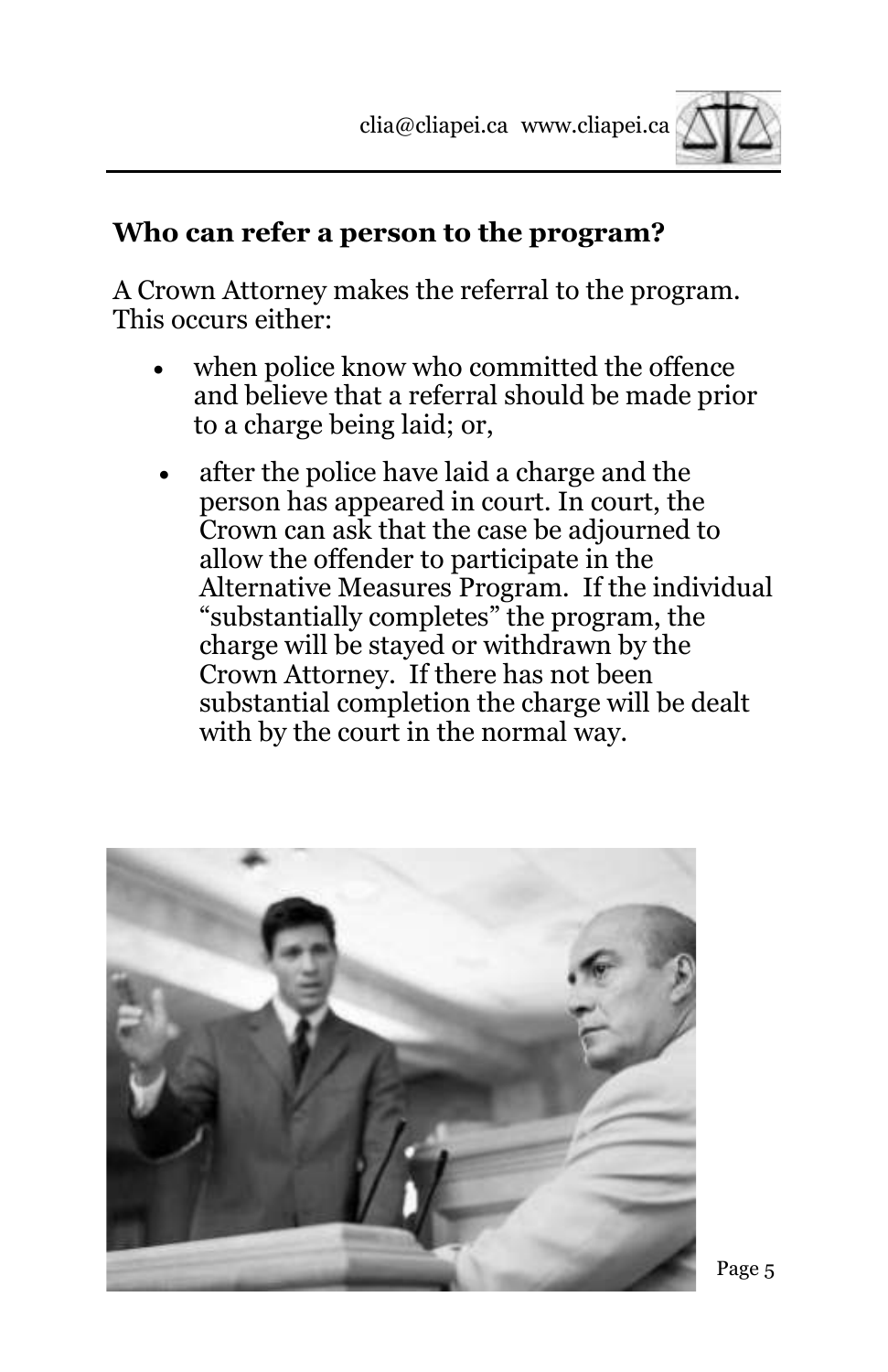

#### **Who can refer a person to the program?**

A Crown Attorney makes the referral to the program. This occurs either:

- when police know who committed the offence and believe that a referral should be made prior to a charge being laid; or,
- after the police have laid a charge and the person has appeared in court. In court, the Crown can ask that the case be adjourned to allow the offender to participate in the Alternative Measures Program. If the individual "substantially completes" the program, the charge will be stayed or withdrawn by the Crown Attorney. If there has not been substantial completion the charge will be dealt with by the court in the normal way.

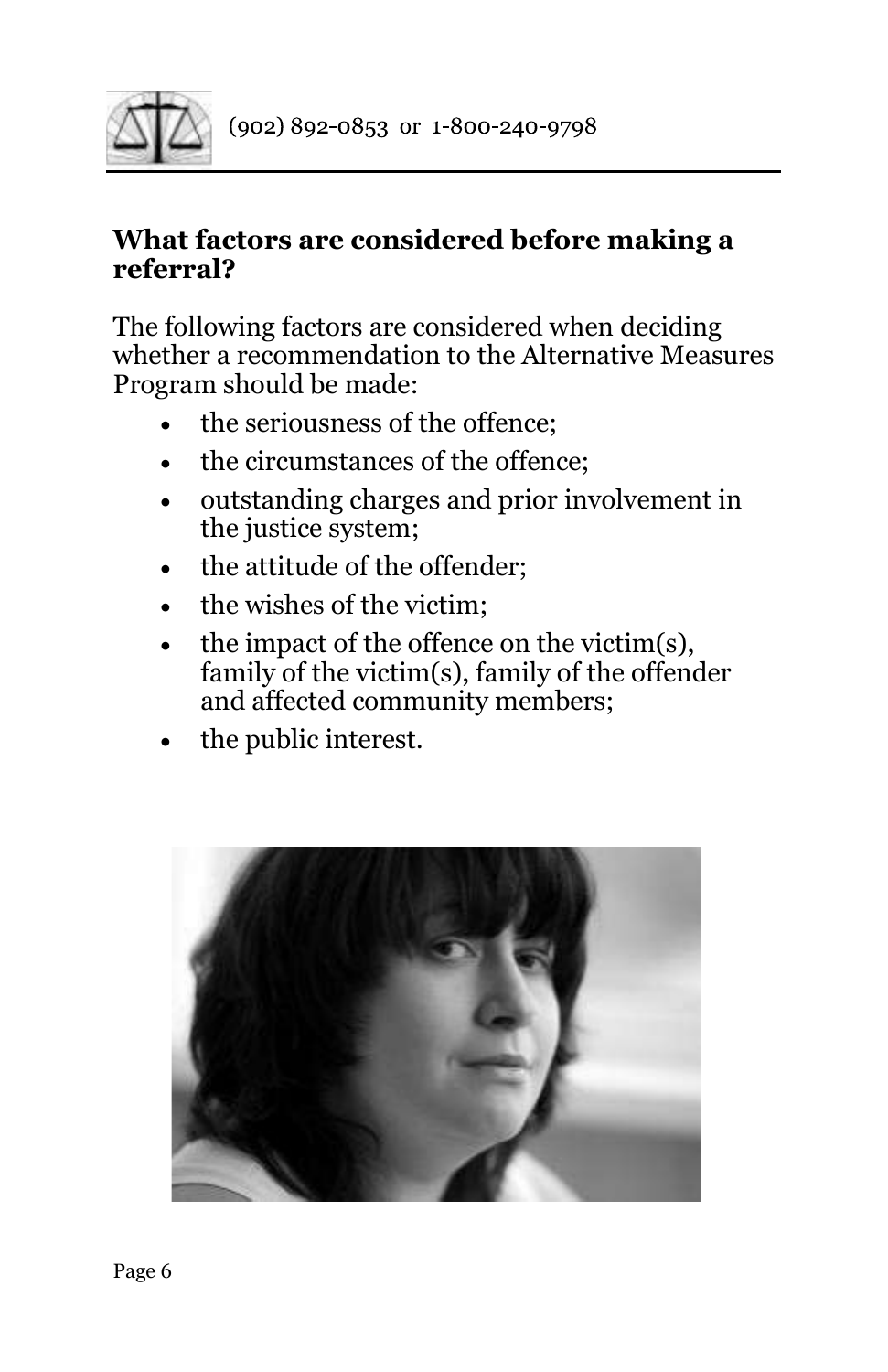

#### **What factors are considered before making a referral?**

The following factors are considered when deciding whether a recommendation to the Alternative Measures Program should be made:

- the seriousness of the offence;
- the circumstances of the offence;
- outstanding charges and prior involvement in the justice system;
- the attitude of the offender:
- the wishes of the victim:
- the impact of the offence on the victim(s), family of the victim(s), family of the offender and affected community members;
- the public interest.

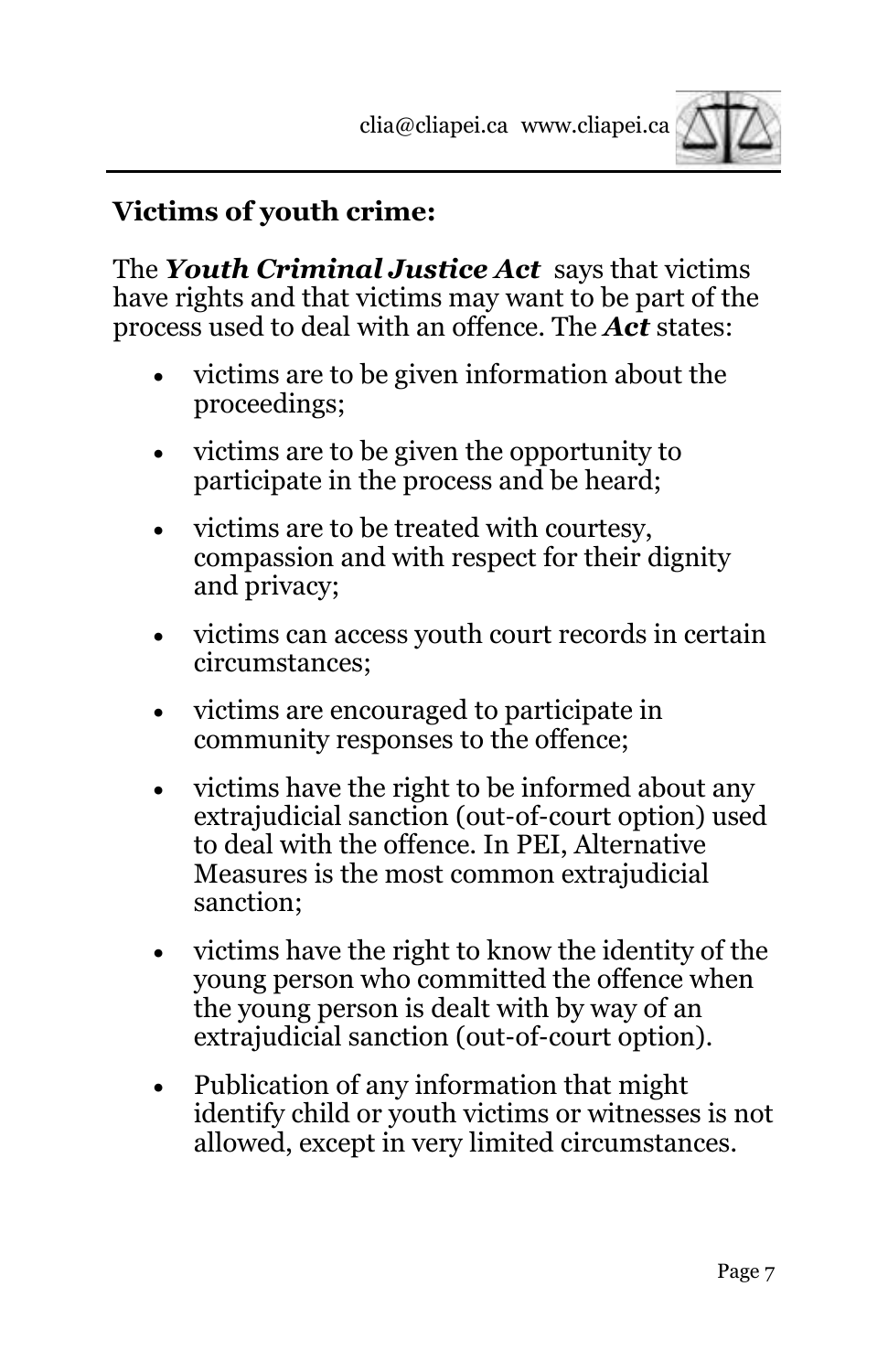

#### **Victims of youth crime:**

The *Youth Criminal Justice Act* says that victims have rights and that victims may want to be part of the process used to deal with an offence. The *Act* states:

- victims are to be given information about the proceedings;
- victims are to be given the opportunity to participate in the process and be heard;
- victims are to be treated with courtesy, compassion and with respect for their dignity and privacy;
- victims can access youth court records in certain circumstances;
- victims are encouraged to participate in community responses to the offence;
- victims have the right to be informed about any extrajudicial sanction (out-of-court option) used to deal with the offence. In PEI, Alternative Measures is the most common extrajudicial sanction;
- victims have the right to know the identity of the young person who committed the offence when the young person is dealt with by way of an extrajudicial sanction (out-of-court option).
- Publication of any information that might identify child or youth victims or witnesses is not allowed, except in very limited circumstances.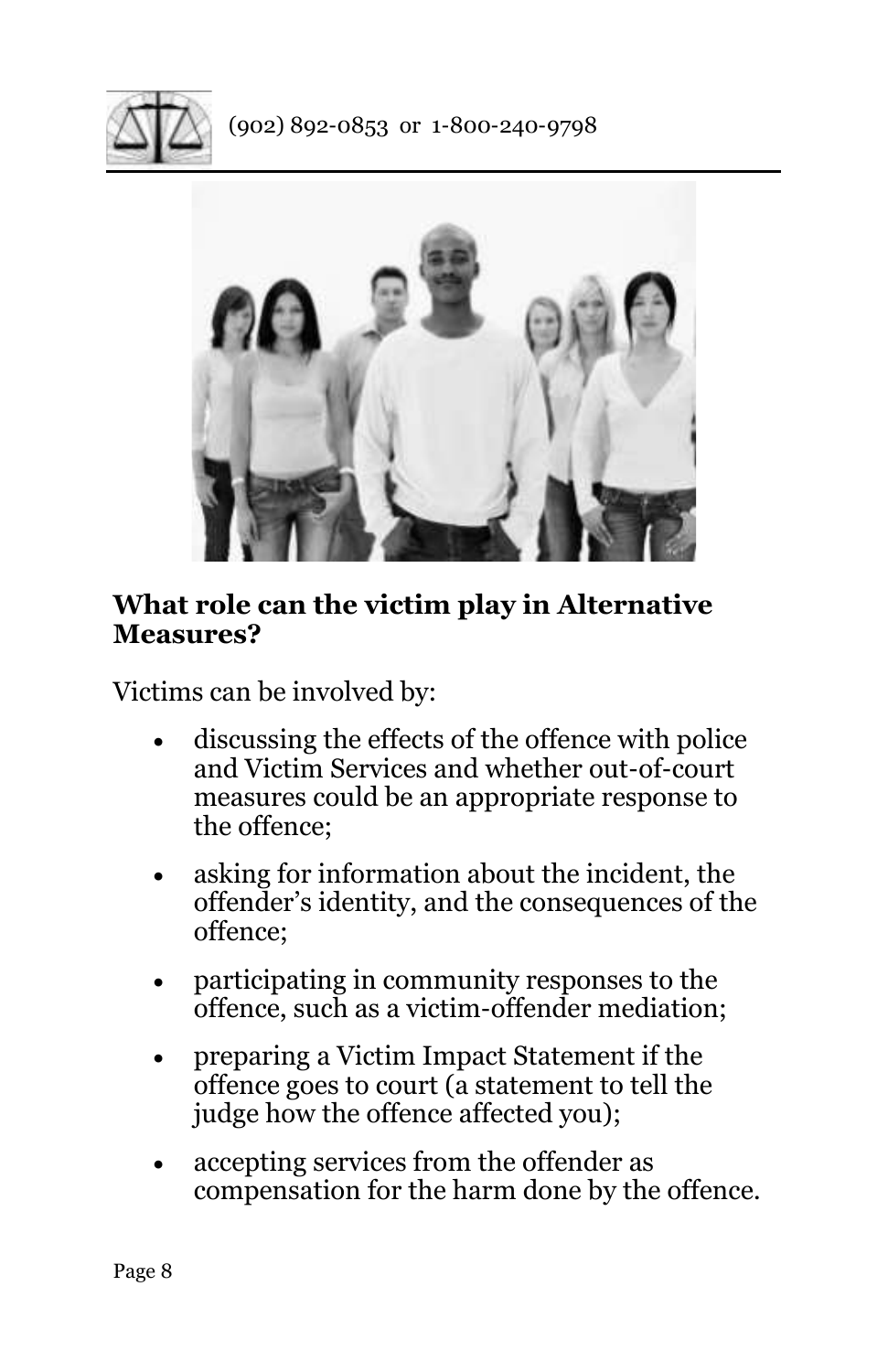



#### **What role can the victim play in Alternative Measures?**

Victims can be involved by:

- discussing the effects of the offence with police and Victim Services and whether out-of-court measures could be an appropriate response to the offence;
- asking for information about the incident, the offender's identity, and the consequences of the offence;
- participating in community responses to the offence, such as a victim-offender mediation;
- preparing a Victim Impact Statement if the offence goes to court (a statement to tell the judge how the offence affected you);
- accepting services from the offender as compensation for the harm done by the offence.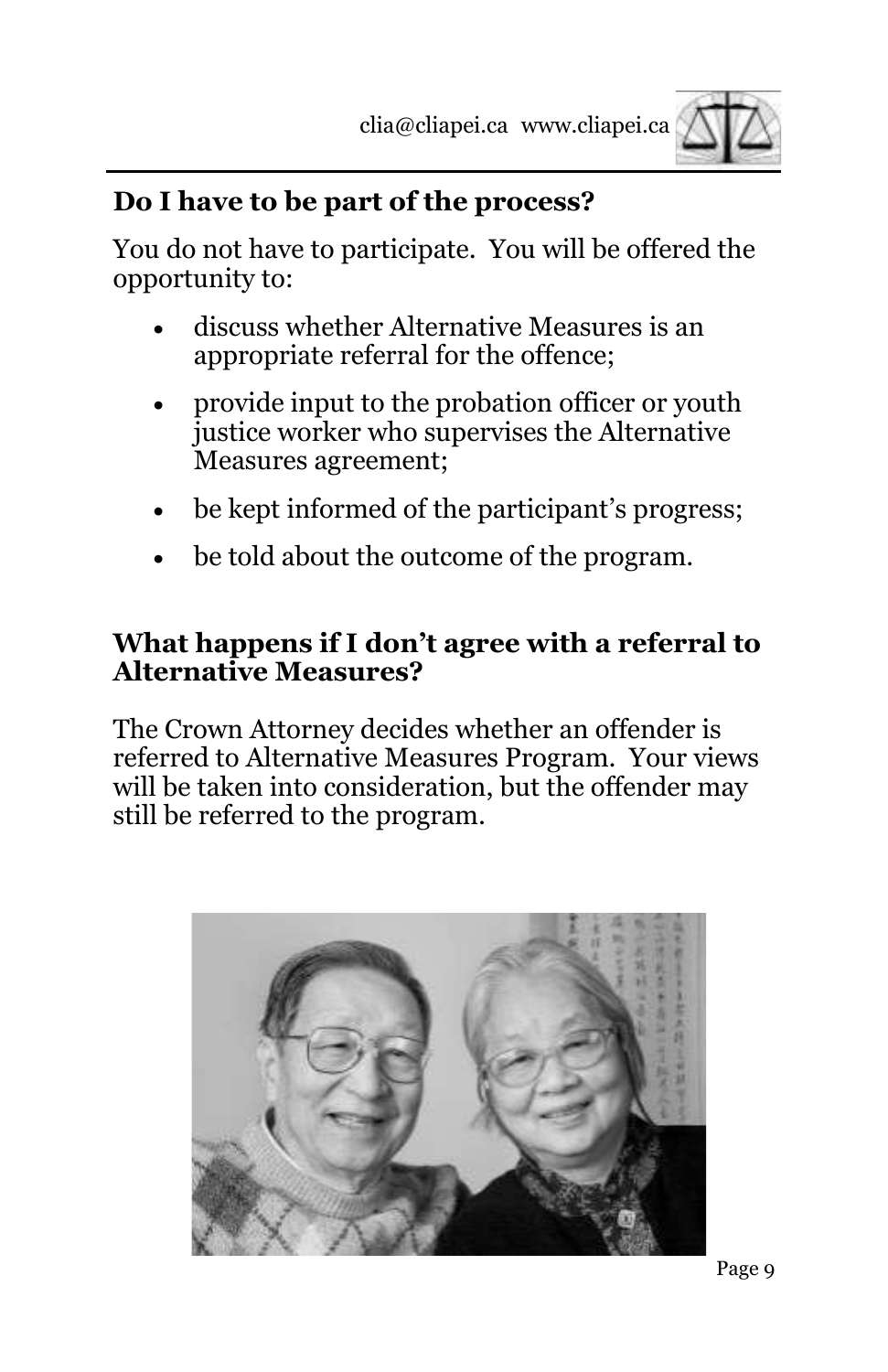

## **Do I have to be part of the process?**

You do not have to participate. You will be offered the opportunity to:

- discuss whether Alternative Measures is an appropriate referral for the offence;
- provide input to the probation officer or youth justice worker who supervises the Alternative Measures agreement;
- be kept informed of the participant's progress;
- be told about the outcome of the program.

#### **What happens if I don't agree with a referral to Alternative Measures?**

The Crown Attorney decides whether an offender is referred to Alternative Measures Program. Your views will be taken into consideration, but the offender may still be referred to the program.

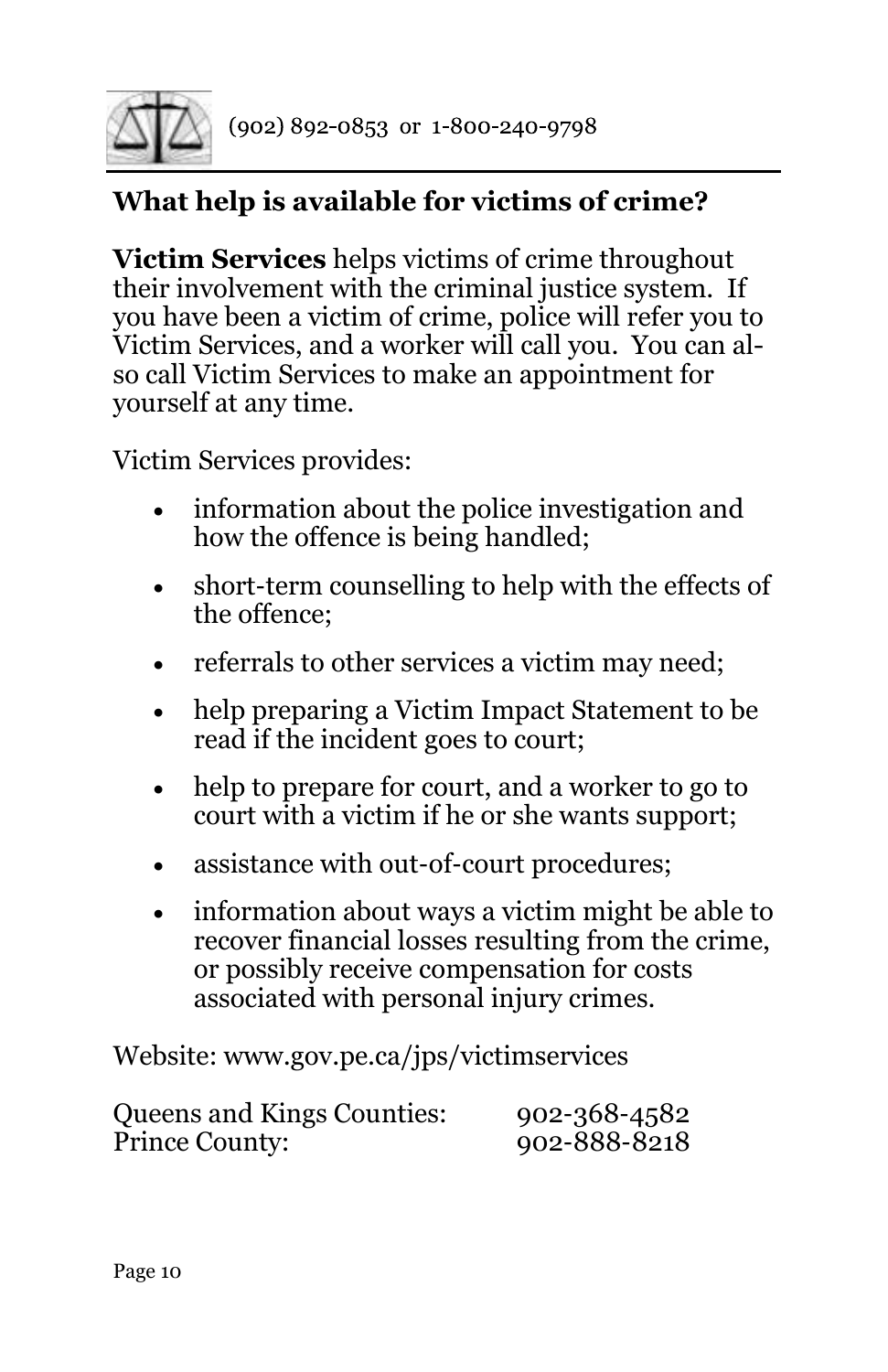

# **What help is available for victims of crime?**

**Victim Services** helps victims of crime throughout their involvement with the criminal justice system. If you have been a victim of crime, police will refer you to Victim Services, and a worker will call you. You can also call Victim Services to make an appointment for yourself at any time.

Victim Services provides:

- information about the police investigation and how the offence is being handled;
- short-term counselling to help with the effects of the offence;
- referrals to other services a victim may need;
- help preparing a Victim Impact Statement to be read if the incident goes to court;
- help to prepare for court, and a worker to go to court with a victim if he or she wants support;
- assistance with out-of-court procedures;
- information about ways a victim might be able to recover financial losses resulting from the crime, or possibly receive compensation for costs associated with personal injury crimes.

Website: www.gov.pe.ca/jps/victimservices

| <b>Queens and Kings Counties:</b> | $902 - 368 - 4582$ |
|-----------------------------------|--------------------|
| <b>Prince County:</b>             | 902-888-8218       |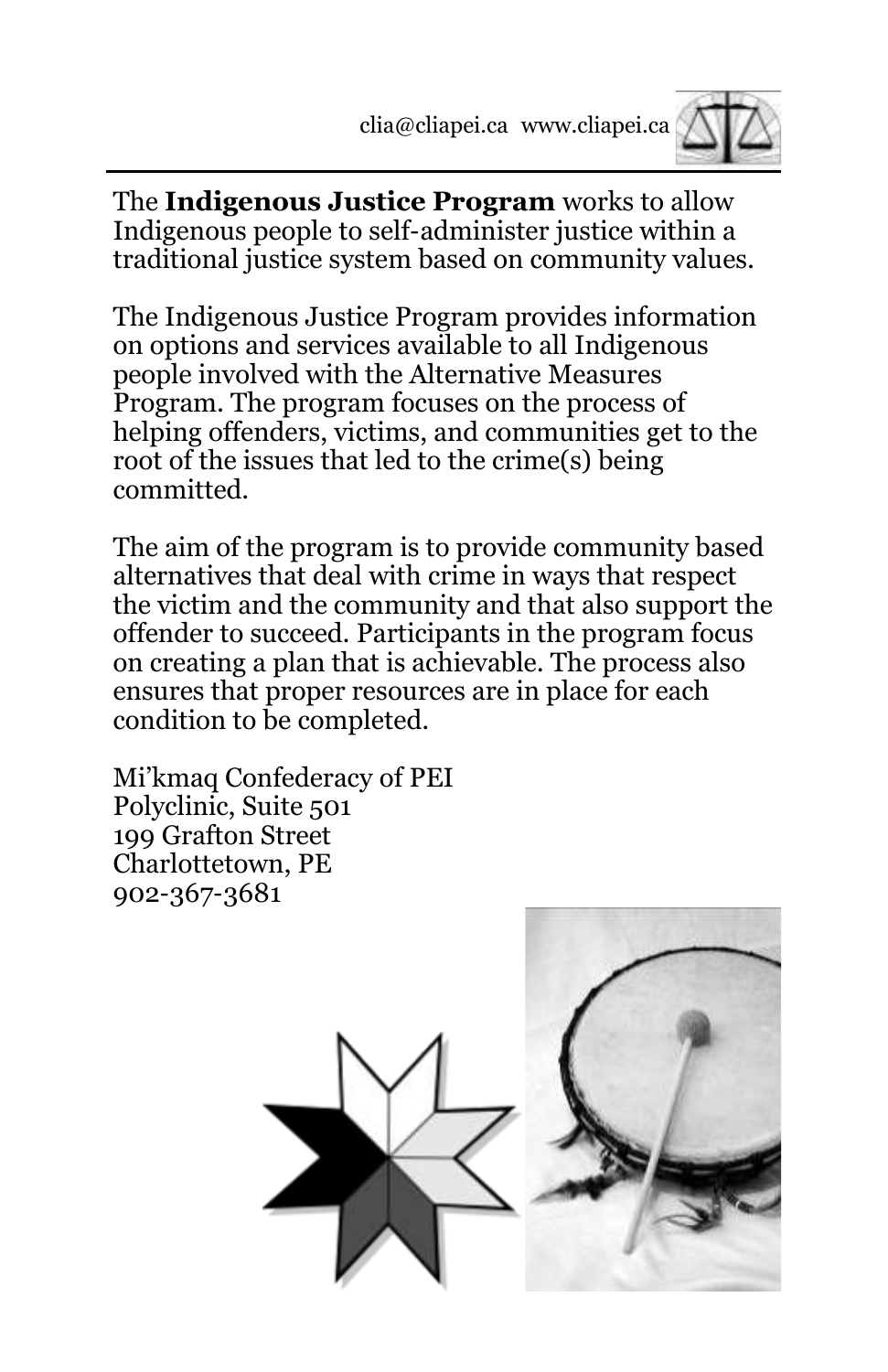

The **Indigenous Justice Program** works to allow Indigenous people to self-administer justice within a traditional justice system based on community values.

The Indigenous Justice Program provides information on options and services available to all Indigenous people involved with the Alternative Measures Program. The program focuses on the process of helping offenders, victims, and communities get to the root of the issues that led to the crime(s) being committed.

The aim of the program is to provide community based alternatives that deal with crime in ways that respect the victim and the community and that also support the offender to succeed. Participants in the program focus on creating a plan that is achievable. The process also ensures that proper resources are in place for each condition to be completed.

Mi'kmaq Confederacy of PEI Polyclinic, Suite 501 199 Grafton Street Charlottetown, PE 902-367-3681